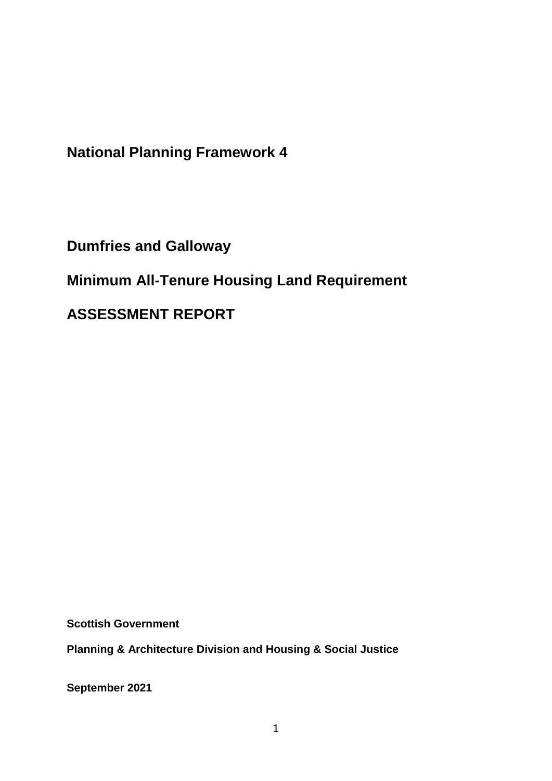**National Planning Framework 4**

**Dumfries and Galloway**

**Minimum All-Tenure Housing Land Requirement** 

**ASSESSMENT REPORT**

**Scottish Government**

**Planning & Architecture Division and Housing & Social Justice** 

**September 2021**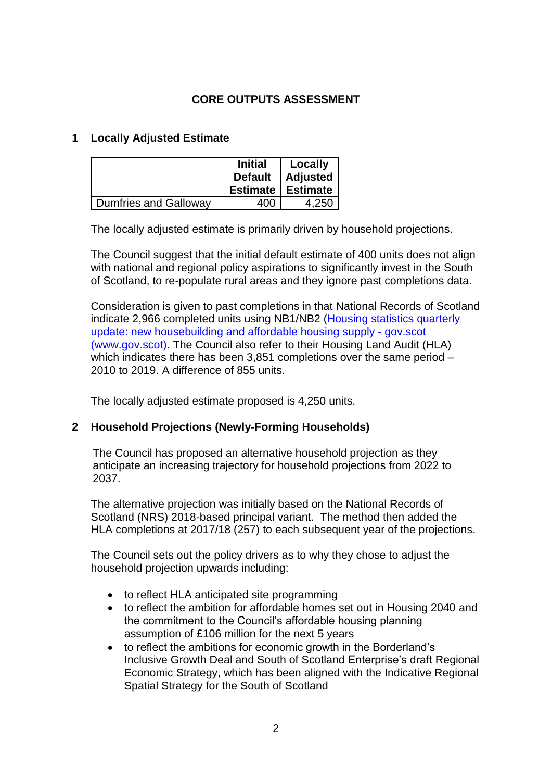| <b>CORE OUTPUTS ASSESSMENT</b> |                                                                                                                                                                                                                                                                                                                                                                                                                                                                                                                                                         |  |  |  |  |
|--------------------------------|---------------------------------------------------------------------------------------------------------------------------------------------------------------------------------------------------------------------------------------------------------------------------------------------------------------------------------------------------------------------------------------------------------------------------------------------------------------------------------------------------------------------------------------------------------|--|--|--|--|
| 1                              | <b>Locally Adjusted Estimate</b>                                                                                                                                                                                                                                                                                                                                                                                                                                                                                                                        |  |  |  |  |
|                                | <b>Initial</b><br>Locally<br><b>Adjusted</b><br><b>Default</b><br><b>Estimate</b><br><b>Estimate</b>                                                                                                                                                                                                                                                                                                                                                                                                                                                    |  |  |  |  |
|                                | <b>Dumfries and Galloway</b><br>4,250<br>400                                                                                                                                                                                                                                                                                                                                                                                                                                                                                                            |  |  |  |  |
|                                | The locally adjusted estimate is primarily driven by household projections.                                                                                                                                                                                                                                                                                                                                                                                                                                                                             |  |  |  |  |
|                                | The Council suggest that the initial default estimate of 400 units does not align<br>with national and regional policy aspirations to significantly invest in the South<br>of Scotland, to re-populate rural areas and they ignore past completions data.                                                                                                                                                                                                                                                                                               |  |  |  |  |
|                                | Consideration is given to past completions in that National Records of Scotland<br>indicate 2,966 completed units using NB1/NB2 (Housing statistics quarterly<br>update: new housebuilding and affordable housing supply - gov.scot<br>(www.gov.scot). The Council also refer to their Housing Land Audit (HLA)<br>which indicates there has been 3,851 completions over the same period $-$<br>2010 to 2019. A difference of 855 units.                                                                                                                |  |  |  |  |
|                                | The locally adjusted estimate proposed is 4,250 units.                                                                                                                                                                                                                                                                                                                                                                                                                                                                                                  |  |  |  |  |
| $\overline{2}$                 | <b>Household Projections (Newly-Forming Households)</b>                                                                                                                                                                                                                                                                                                                                                                                                                                                                                                 |  |  |  |  |
|                                | The Council has proposed an alternative household projection as they<br>anticipate an increasing trajectory for household projections from 2022 to<br>2037.                                                                                                                                                                                                                                                                                                                                                                                             |  |  |  |  |
|                                | The alternative projection was initially based on the National Records of<br>Scotland (NRS) 2018-based principal variant. The method then added the<br>HLA completions at 2017/18 (257) to each subsequent year of the projections.                                                                                                                                                                                                                                                                                                                     |  |  |  |  |
|                                | The Council sets out the policy drivers as to why they chose to adjust the<br>household projection upwards including:                                                                                                                                                                                                                                                                                                                                                                                                                                   |  |  |  |  |
|                                | to reflect HLA anticipated site programming<br>$\bullet$<br>to reflect the ambition for affordable homes set out in Housing 2040 and<br>$\bullet$<br>the commitment to the Council's affordable housing planning<br>assumption of £106 million for the next 5 years<br>to reflect the ambitions for economic growth in the Borderland's<br>$\bullet$<br>Inclusive Growth Deal and South of Scotland Enterprise's draft Regional<br>Economic Strategy, which has been aligned with the Indicative Regional<br>Spatial Strategy for the South of Scotland |  |  |  |  |

 $\sqrt{ }$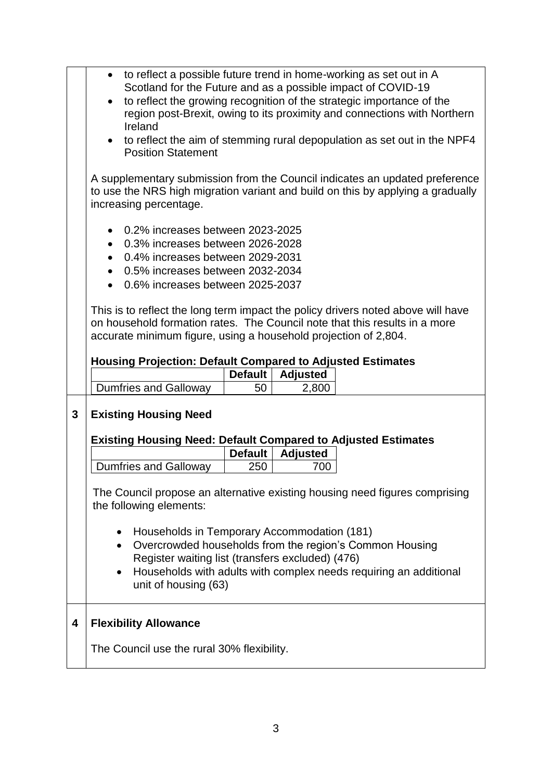|   | to reflect a possible future trend in home-working as set out in A               |  |  |  |  |
|---|----------------------------------------------------------------------------------|--|--|--|--|
|   | Scotland for the Future and as a possible impact of COVID-19                     |  |  |  |  |
|   | to reflect the growing recognition of the strategic importance of the            |  |  |  |  |
|   | region post-Brexit, owing to its proximity and connections with Northern         |  |  |  |  |
|   | Ireland                                                                          |  |  |  |  |
|   | to reflect the aim of stemming rural depopulation as set out in the NPF4         |  |  |  |  |
|   | <b>Position Statement</b>                                                        |  |  |  |  |
|   |                                                                                  |  |  |  |  |
|   | A supplementary submission from the Council indicates an updated preference      |  |  |  |  |
|   | to use the NRS high migration variant and build on this by applying a gradually  |  |  |  |  |
|   | increasing percentage.                                                           |  |  |  |  |
|   |                                                                                  |  |  |  |  |
|   | 0.2% increases between 2023-2025                                                 |  |  |  |  |
|   | 0.3% increases between 2026-2028<br>$\bullet$                                    |  |  |  |  |
|   | 0.4% increases between 2029-2031<br>$\bullet$                                    |  |  |  |  |
|   | 0.5% increases between 2032-2034<br>$\bullet$                                    |  |  |  |  |
|   | 0.6% increases between 2025-2037<br>$\bullet$                                    |  |  |  |  |
|   |                                                                                  |  |  |  |  |
|   | This is to reflect the long term impact the policy drivers noted above will have |  |  |  |  |
|   | on household formation rates. The Council note that this results in a more       |  |  |  |  |
|   | accurate minimum figure, using a household projection of 2,804.                  |  |  |  |  |
|   |                                                                                  |  |  |  |  |
|   |                                                                                  |  |  |  |  |
|   |                                                                                  |  |  |  |  |
|   | <b>Housing Projection: Default Compared to Adjusted Estimates</b>                |  |  |  |  |
|   | <b>Default</b><br><b>Adjusted</b>                                                |  |  |  |  |
|   | <b>Dumfries and Galloway</b><br>50<br>2,800                                      |  |  |  |  |
|   |                                                                                  |  |  |  |  |
| 3 | <b>Existing Housing Need</b>                                                     |  |  |  |  |
|   |                                                                                  |  |  |  |  |
|   | <b>Existing Housing Need: Default Compared to Adjusted Estimates</b>             |  |  |  |  |
|   | <b>Default</b><br><b>Adjusted</b>                                                |  |  |  |  |
|   | <b>Dumfries and Galloway</b><br>250<br>700                                       |  |  |  |  |
|   |                                                                                  |  |  |  |  |
|   | The Council propose an alternative existing housing need figures comprising      |  |  |  |  |
|   | the following elements:                                                          |  |  |  |  |
|   |                                                                                  |  |  |  |  |
|   | Households in Temporary Accommodation (181)<br>٠                                 |  |  |  |  |
|   | Overcrowded households from the region's Common Housing<br>$\bullet$             |  |  |  |  |
|   | Register waiting list (transfers excluded) (476)                                 |  |  |  |  |
|   | Households with adults with complex needs requiring an additional<br>٠           |  |  |  |  |
|   | unit of housing (63)                                                             |  |  |  |  |
|   |                                                                                  |  |  |  |  |
|   |                                                                                  |  |  |  |  |
| 4 | <b>Flexibility Allowance</b>                                                     |  |  |  |  |
|   |                                                                                  |  |  |  |  |
|   | The Council use the rural 30% flexibility.                                       |  |  |  |  |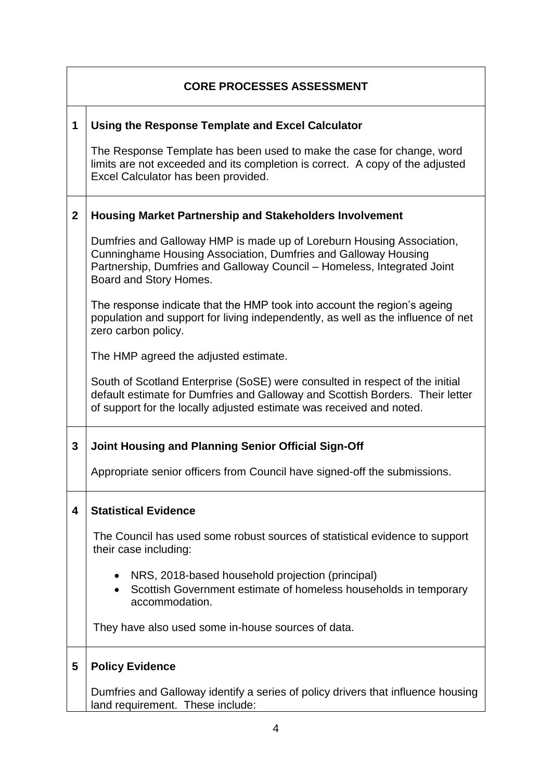| <b>CORE PROCESSES ASSESSMENT</b> |                                                                                                                                                                                                                                              |  |
|----------------------------------|----------------------------------------------------------------------------------------------------------------------------------------------------------------------------------------------------------------------------------------------|--|
| 1                                | Using the Response Template and Excel Calculator                                                                                                                                                                                             |  |
|                                  | The Response Template has been used to make the case for change, word<br>limits are not exceeded and its completion is correct. A copy of the adjusted<br>Excel Calculator has been provided.                                                |  |
| $\mathbf{2}$                     | <b>Housing Market Partnership and Stakeholders Involvement</b>                                                                                                                                                                               |  |
|                                  | Dumfries and Galloway HMP is made up of Loreburn Housing Association,<br>Cunninghame Housing Association, Dumfries and Galloway Housing<br>Partnership, Dumfries and Galloway Council - Homeless, Integrated Joint<br>Board and Story Homes. |  |
|                                  | The response indicate that the HMP took into account the region's ageing<br>population and support for living independently, as well as the influence of net<br>zero carbon policy.                                                          |  |
|                                  | The HMP agreed the adjusted estimate.                                                                                                                                                                                                        |  |
|                                  | South of Scotland Enterprise (SoSE) were consulted in respect of the initial<br>default estimate for Dumfries and Galloway and Scottish Borders. Their letter<br>of support for the locally adjusted estimate was received and noted.        |  |
| 3                                | Joint Housing and Planning Senior Official Sign-Off                                                                                                                                                                                          |  |
|                                  | Appropriate senior officers from Council have signed-off the submissions.                                                                                                                                                                    |  |
| 4                                | <b>Statistical Evidence</b>                                                                                                                                                                                                                  |  |
|                                  | The Council has used some robust sources of statistical evidence to support<br>their case including:                                                                                                                                         |  |
|                                  | NRS, 2018-based household projection (principal)<br>Scottish Government estimate of homeless households in temporary<br>accommodation.                                                                                                       |  |
|                                  | They have also used some in-house sources of data.                                                                                                                                                                                           |  |
| 5                                | <b>Policy Evidence</b>                                                                                                                                                                                                                       |  |
|                                  | Dumfries and Galloway identify a series of policy drivers that influence housing<br>land requirement. These include:                                                                                                                         |  |